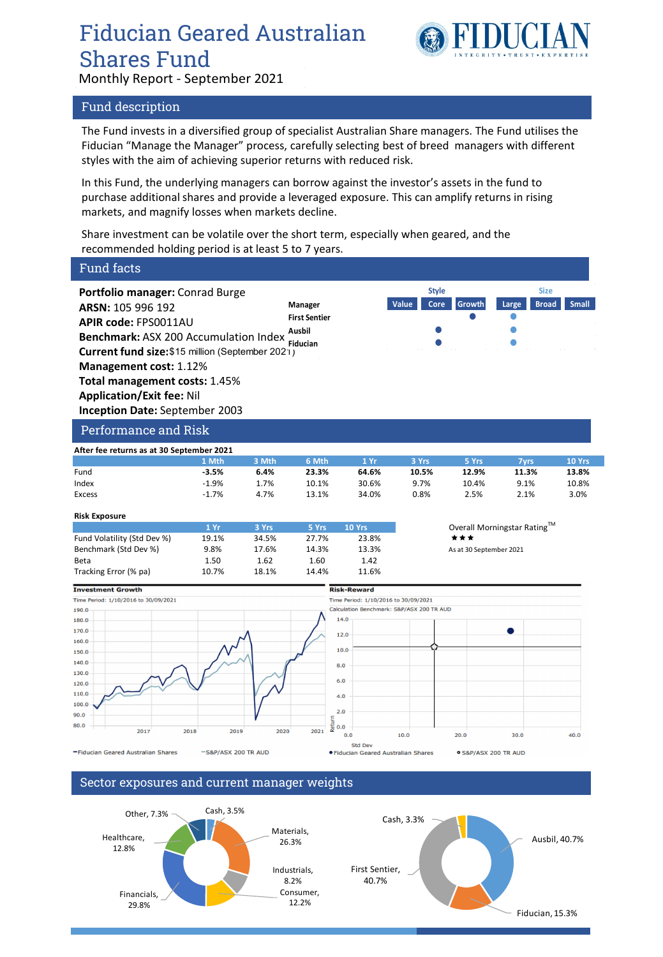# Fiducian Geared Australian Shares Fund



Monthly Report - September 2021

## Fund description

The Fund invests in a diversified group of specialist Australian Share managers. The Fund utilises the Fiducian "Manage the Manager" process, carefully selecting best of breed managers with different styles with the aim of achieving superior returns with reduced risk.

In this Fund, the underlying managers can borrow against the investor's assets in the fund to purchase additional shares and provide a leveraged exposure. This can amplify returns in rising markets, and magnify losses when markets decline.

Share investment can be volatile over the short term, especially when geared, and the recommended holding period is at least 5 to 7 years.

| <b>Fund facts</b>                                                                                                                                                                                                                                                                                                        |               |               |                                                              |                                                   |                               |        |                                      |              |
|--------------------------------------------------------------------------------------------------------------------------------------------------------------------------------------------------------------------------------------------------------------------------------------------------------------------------|---------------|---------------|--------------------------------------------------------------|---------------------------------------------------|-------------------------------|--------|--------------------------------------|--------------|
| Portfolio manager: Conrad Burge<br>ARSN: 105 996 192<br><b>APIR code: FPS0011AU</b><br>Benchmark: ASX 200 Accumulation Index<br>Current fund size: \$15 million (September 2021)<br>Management cost: 1.12%<br><b>Total management costs: 1.45%</b><br><b>Application/Exit fee: Nil</b><br>Inception Date: September 2003 |               |               | Manager<br><b>First Sentier</b><br>Ausbil<br><b>Fiducian</b> |                                                   | <b>Style</b><br>Value<br>Core | Growth | <b>Size</b><br><b>Broad</b><br>Large | <b>Small</b> |
| <b>Performance and Risk</b>                                                                                                                                                                                                                                                                                              |               |               |                                                              |                                                   |                               |        |                                      |              |
| After fee returns as at 30 September 2021                                                                                                                                                                                                                                                                                |               |               |                                                              |                                                   |                               |        |                                      |              |
|                                                                                                                                                                                                                                                                                                                          | 1 Mth         | 3 Mth         | 6 Mth                                                        | 1 Yr                                              | 3 Yrs                         | 5 Yrs  | <b>7yrs</b>                          | 10 Yrs       |
| Fund                                                                                                                                                                                                                                                                                                                     | $-3.5%$       | 6.4%          | 23.3%                                                        | 64.6%                                             | 10.5%                         | 12.9%  | 11.3%                                | 13.8%        |
| Index                                                                                                                                                                                                                                                                                                                    | $-1.9%$       | 1.7%          | 10.1%                                                        | 30.6%                                             | 9.7%                          | 10.4%  | 9.1%                                 | 10.8%        |
| <b>Excess</b>                                                                                                                                                                                                                                                                                                            | $-1.7%$       | 4.7%          | 13.1%                                                        | 34.0%                                             | 0.8%                          | 2.5%   | 2.1%                                 | 3.0%         |
| <b>Risk Exposure</b>                                                                                                                                                                                                                                                                                                     |               |               |                                                              |                                                   |                               |        |                                      |              |
|                                                                                                                                                                                                                                                                                                                          | 1 Yr          | 3 Yrs         | 5 Yrs                                                        | 10 Yrs                                            | Overall Morningstar Rating™   |        |                                      |              |
| Fund Volatility (Std Dev %)                                                                                                                                                                                                                                                                                              | 19.1%         | 34.5%         | 27.7%                                                        | 23.8%                                             |                               | ***    |                                      |              |
| Benchmark (Std Dev %)                                                                                                                                                                                                                                                                                                    | 9.8%          | 17.6%<br>1.62 | 14.3%<br>1.60                                                | 13.3%<br>1.42                                     | As at 30 September 2021       |        |                                      |              |
| Beta<br>Tracking Error (% pa)                                                                                                                                                                                                                                                                                            | 1.50<br>10.7% | 18.1%         | 14.4%                                                        | 11.6%                                             |                               |        |                                      |              |
|                                                                                                                                                                                                                                                                                                                          |               |               |                                                              |                                                   |                               |        |                                      |              |
| <b>Investment Growth</b>                                                                                                                                                                                                                                                                                                 |               |               |                                                              | <b>Risk-Reward</b>                                |                               |        |                                      |              |
|                                                                                                                                                                                                                                                                                                                          |               |               |                                                              | Time Period: 1/10/2016 to 30/09/2021              |                               |        |                                      |              |
|                                                                                                                                                                                                                                                                                                                          |               |               |                                                              |                                                   |                               |        |                                      |              |
|                                                                                                                                                                                                                                                                                                                          |               |               |                                                              | Calculation Benchmark: S&P/ASX 200 TR AUD<br>14.0 |                               |        |                                      |              |
|                                                                                                                                                                                                                                                                                                                          |               |               |                                                              |                                                   |                               |        |                                      |              |
|                                                                                                                                                                                                                                                                                                                          |               |               | 12.0                                                         |                                                   |                               |        |                                      |              |
|                                                                                                                                                                                                                                                                                                                          |               |               | 10.0                                                         |                                                   |                               |        |                                      |              |
|                                                                                                                                                                                                                                                                                                                          |               |               | 8.0                                                          |                                                   |                               |        |                                      |              |
|                                                                                                                                                                                                                                                                                                                          |               |               |                                                              |                                                   |                               |        |                                      |              |
| 190.0<br>180.0<br>170.0<br>160.0<br>150.0<br>140.0<br>130.0<br>120.0                                                                                                                                                                                                                                                     |               |               | 6.0                                                          |                                                   |                               |        |                                      |              |
| Time Period: 1/10/2016 to 30/09/2021<br>110.0                                                                                                                                                                                                                                                                            |               |               | 4.0                                                          |                                                   |                               |        |                                      |              |
| 100.0                                                                                                                                                                                                                                                                                                                    |               |               | 2.0                                                          |                                                   |                               |        |                                      |              |
| 90.0<br>80.0                                                                                                                                                                                                                                                                                                             |               |               | Return<br>0.0                                                |                                                   |                               |        |                                      |              |

-Fiducian Geared Australian Shares

-S&P/ASX 200 TR AUD



● S&P/ASX 200 TR AUD

### Sector exposures and current manager weights